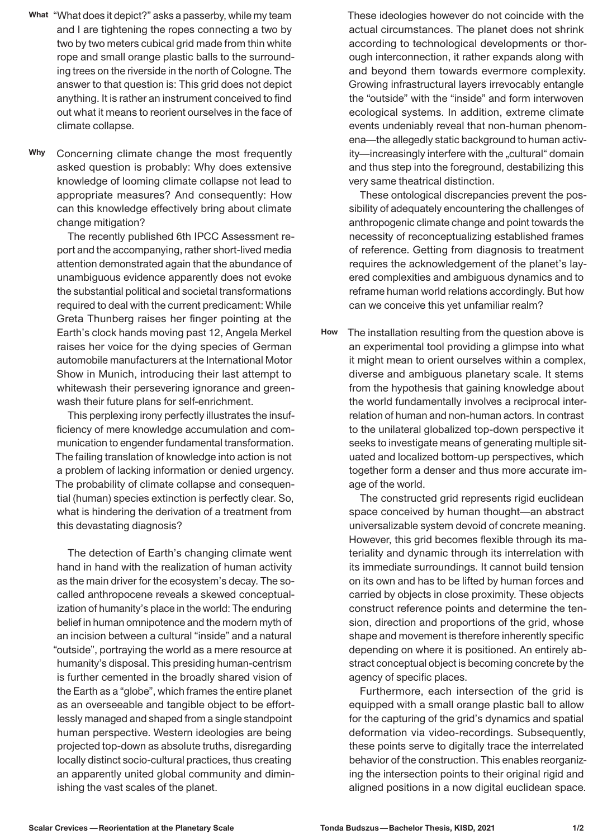- **What** "What does it depict?" asks a passerby, while my team and I are tightening the ropes connecting a two by two by two meters cubical grid made from thin white rope and small orange plastic balls to the surrounding trees on the riverside in the north of Cologne. The answer to that question is: This grid does not depict anything. It is rather an instrument conceived to find out what it means to reorient ourselves in the face of climate collapse.
- Concerning climate change the most frequently asked question is probably: Why does extensive knowledge of looming climate collapse not lead to appropriate measures? And consequently: How can this knowledge effectively bring about climate change mitigation? **Why**

The recently published 6th IPCC Assessment report and the accompanying, rather short-lived media attention demonstrated again that the abundance of unambiguous evidence apparently does not evoke the substantial political and societal transformations required to deal with the current predicament: While Greta Thunberg raises her finger pointing at the Earth's clock hands moving past 12, Angela Merkel raises her voice for the dying species of German automobile manufacturers at the International Motor Show in Munich, introducing their last attempt to whitewash their persevering ignorance and greenwash their future plans for self-enrichment.

This perplexing irony perfectly illustrates the insufficiency of mere knowledge accumulation and communication to engender fundamental transformation. The failing translation of knowledge into action is not a problem of lacking information or denied urgency. The probability of climate collapse and consequential (human) species extinction is perfectly clear. So, what is hindering the derivation of a treatment from this devastating diagnosis?

The detection of Earth's changing climate went hand in hand with the realization of human activity as the main driver for the ecosystem's decay. The socalled anthropocene reveals a skewed conceptualization of humanity's place in the world: The enduring belief in human omnipotence and the modern myth of an incision between a cultural "inside" and a natural "outside", portraying the world as a mere resource at humanity's disposal. This presiding human-centrism is further cemented in the broadly shared vision of the Earth as a "globe", which frames the entire planet as an overseeable and tangible object to be effortlessly managed and shaped from a single standpoint human perspective. Western ideologies are being projected top-down as absolute truths, disregarding locally distinct socio-cultural practices, thus creating an apparently united global community and diminishing the vast scales of the planet.

These ideologies however do not coincide with the actual circumstances. The planet does not shrink according to technological developments or thorough interconnection, it rather expands along with and beyond them towards evermore complexity. Growing infrastructural layers irrevocably entangle the "outside" with the "inside" and form interwoven ecological systems. In addition, extreme climate events undeniably reveal that non-human phenomena—the allegedly static background to human activity-increasingly interfere with the "cultural" domain and thus step into the foreground, destabilizing this very same theatrical distinction.

These ontological discrepancies prevent the possibility of adequately encountering the challenges of anthropogenic climate change and point towards the necessity of reconceptualizing established frames of reference. Getting from diagnosis to treatment requires the acknowledgement of the planet's layered complexities and ambiguous dynamics and to reframe human world relations accordingly. But how can we conceive this yet unfamiliar realm?

The installation resulting from the question above is an experimental tool providing a glimpse into what it might mean to orient ourselves within a complex, diverse and ambiguous planetary scale. It stems from the hypothesis that gaining knowledge about the world fundamentally involves a reciprocal interrelation of human and non-human actors. In contrast to the unilateral globalized top-down perspective it seeks to investigate means of generating multiple situated and localized bottom-up perspectives, which together form a denser and thus more accurate image of the world. **How**

> The constructed grid represents rigid euclidean space conceived by human thought—an abstract universalizable system devoid of concrete meaning. However, this grid becomes flexible through its materiality and dynamic through its interrelation with its immediate surroundings. It cannot build tension on its own and has to be lifted by human forces and carried by objects in close proximity. These objects construct reference points and determine the tension, direction and proportions of the grid, whose shape and movement is therefore inherently specific depending on where it is positioned. An entirely abstract conceptual object is becoming concrete by the agency of specific places.

> Furthermore, each intersection of the grid is equipped with a small orange plastic ball to allow for the capturing of the grid's dynamics and spatial deformation via video-recordings. Subsequently, these points serve to digitally trace the interrelated behavior of the construction. This enables reorganizing the intersection points to their original rigid and aligned positions in a now digital euclidean space.